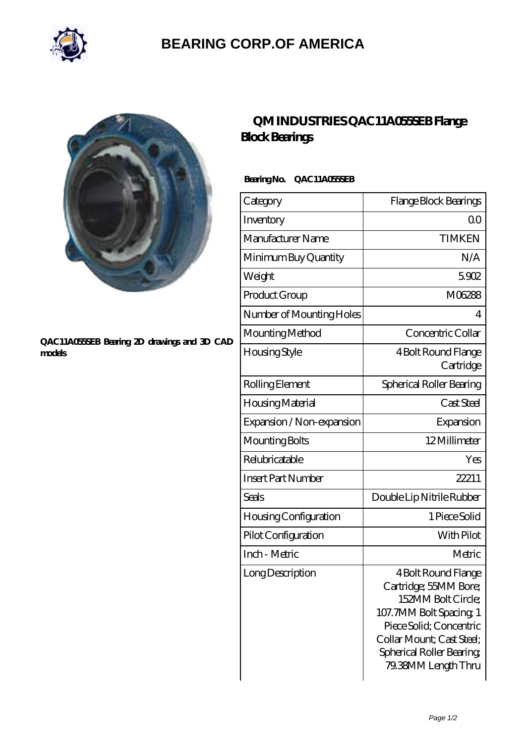

## **[BEARING CORP.OF AMERICA](https://bluemondayreview.com)**



#### **[QAC11A055SEB Bearing 2D drawings and 3D CAD](https://bluemondayreview.com/pic-175375.html) [models](https://bluemondayreview.com/pic-175375.html)**

## **[QM INDUSTRIES QAC11A055SEB Flange](https://bluemondayreview.com/bz-175375-qm-industries-qac11a055seb-flange-block-bearings.html) [Block Bearings](https://bluemondayreview.com/bz-175375-qm-industries-qac11a055seb-flange-block-bearings.html)**

### **Bearing No. QAC11A055SEB**

| Category                     | Flange Block Bearings                                                                                                                                                                                     |
|------------------------------|-----------------------------------------------------------------------------------------------------------------------------------------------------------------------------------------------------------|
| Inventory                    | Q0                                                                                                                                                                                                        |
| Manufacturer Name            | <b>TIMKEN</b>                                                                                                                                                                                             |
| Minimum Buy Quantity         | N/A                                                                                                                                                                                                       |
| Weight                       | 5902                                                                                                                                                                                                      |
| Product Group                | M06288                                                                                                                                                                                                    |
| Number of Mounting Holes     | 4                                                                                                                                                                                                         |
| Mounting Method              | Concentric Collar                                                                                                                                                                                         |
| Housing Style                | 4 Bolt Round Flange<br>Cartridge                                                                                                                                                                          |
| Rolling Element              | Spherical Roller Bearing                                                                                                                                                                                  |
| Housing Material             | Cast Steel                                                                                                                                                                                                |
| Expansion / Non-expansion    | Expansion                                                                                                                                                                                                 |
| Mounting Bolts               | 12Millimeter                                                                                                                                                                                              |
| Relubricatable               | Yes                                                                                                                                                                                                       |
| <b>Insert Part Number</b>    | 22211                                                                                                                                                                                                     |
| Seals                        | Double Lip Nitrile Rubber                                                                                                                                                                                 |
| <b>Housing Configuration</b> | 1 Piece Solid                                                                                                                                                                                             |
| Pilot Configuration          | With Pilot                                                                                                                                                                                                |
| Inch - Metric                | Metric                                                                                                                                                                                                    |
| Long Description             | 4 Bolt Round Flange<br>Cartridge; 55MM Bore;<br>152MM Bolt Circle;<br>107. 7MM Bolt Spacing, 1<br>Piece Solid; Concentric<br>Collar Mount; Cast Steel;<br>Spherical Roller Bearing<br>79.38MM Length Thru |